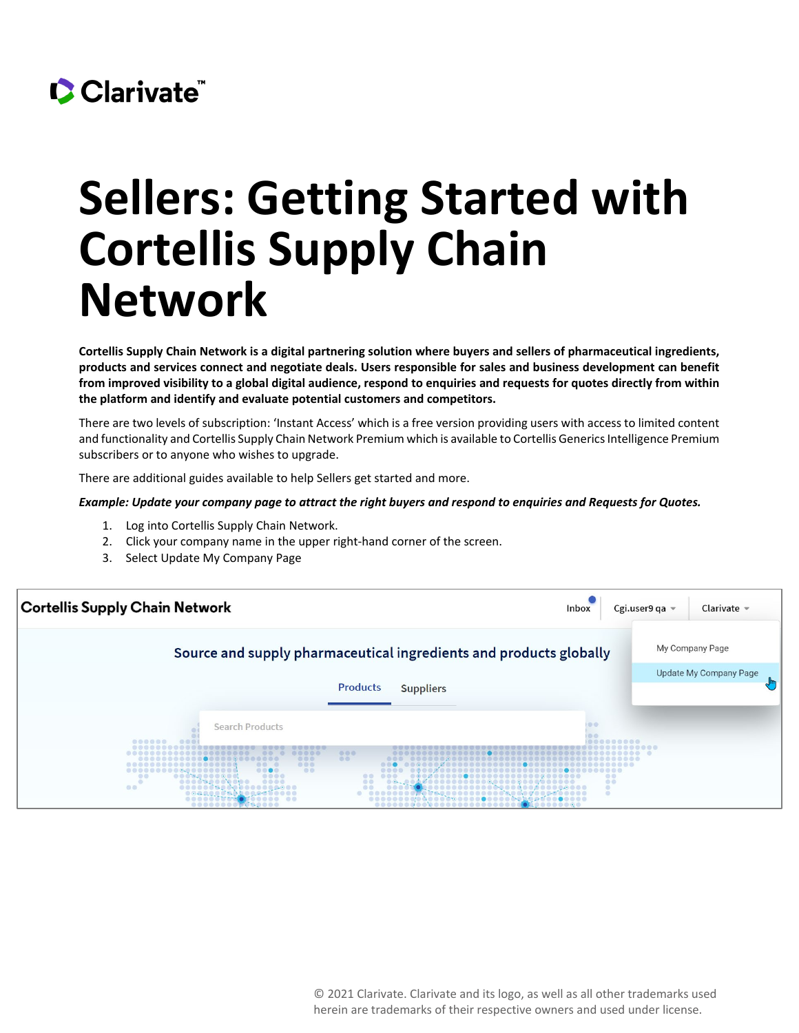## CClarivate

## **Sellers: Getting Started with Cortellis Supply Chain Network**

**Cortellis Supply Chain Network is a digital partnering solution where buyers and sellers of pharmaceutical ingredients, products and services connect and negotiate deals. Users responsible for sales and business development can benefit from improved visibility to a global digital audience, respond to enquiries and requests for quotes directly from within the platform and identify and evaluate potential customers and competitors.** 

There are two levels of subscription: 'Instant Access' which is a free version providing users with access to limited content and functionality and Cortellis Supply Chain Network Premium which is available to Cortellis Generics Intelligence Premium subscribers or to anyone who wishes to upgrade.

There are additional guides available to help Sellers get started and more.

## *Example: Update your company page to attract the right buyers and respond to enquiries and Requests for Quotes.*

- 1. Log into Cortellis Supply Chain Network.
- 2. Click your company name in the upper right-hand corner of the screen.
- 3. Select Update My Company Page

| <b>Cortellis Supply Chain Network</b>                                                                             | Inbox            | Cgi.user9 qa =<br>Clarivate $\sim$ |
|-------------------------------------------------------------------------------------------------------------------|------------------|------------------------------------|
| Source and supply pharmaceutical ingredients and products globally                                                |                  | My Company Page                    |
| <b>Products</b><br><b>Suppliers</b>                                                                               |                  | <b>Update My Company Page</b>      |
| <b>Search Products</b><br>888881<br>000<br><br>00<br>000<br>000<br>$-0.0$<br>00<br><br>$\circ$<br>$\circ$<br><br> | <br>00<br>00<br> |                                    |

© 2021 Clarivate. Clarivate and its logo, as well as all other trademarks used herein are trademarks of their respective owners and used under license.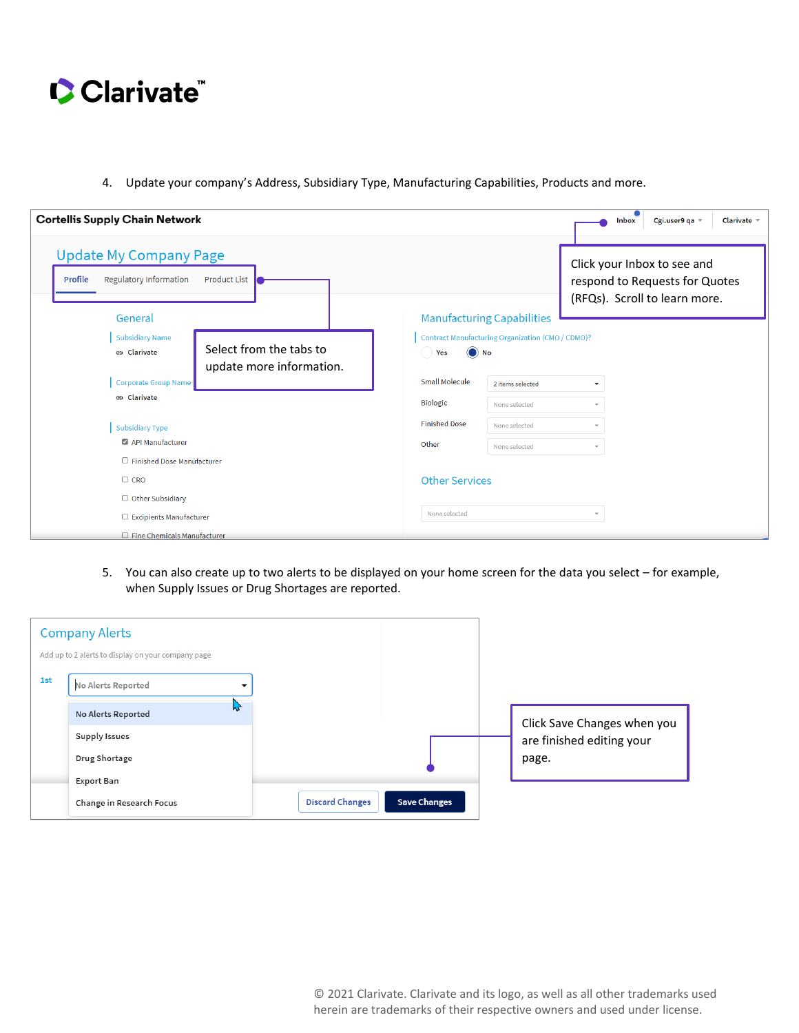

4. Update your company's Address, Subsidiary Type, Manufacturing Capabilities, Products and more.

| <b>Cortellis Supply Chain Network</b>                                                        |                       |                                                          | Cgi.user9 qa =<br>Clarivate $\sim$<br><b>Inbox</b>                                             |
|----------------------------------------------------------------------------------------------|-----------------------|----------------------------------------------------------|------------------------------------------------------------------------------------------------|
| <b>Update My Company Page</b><br>Regulatory Information<br><b>Product List</b><br>Profile    |                       |                                                          | Click your Inbox to see and<br>respond to Requests for Quotes<br>(RFQs). Scroll to learn more. |
| General                                                                                      |                       | <b>Manufacturing Capabilities</b>                        |                                                                                                |
| <b>Subsidiary Name</b><br>Select from the tabs to<br>e Clarivate<br>update more information. | $\odot$ No<br>Yes     | <b>Contract Manufacturing Organization (CMO / CDMO)?</b> |                                                                                                |
| <b>Corporate Group Name</b>                                                                  | <b>Small Molecule</b> | 2 items selected                                         | ٠                                                                                              |
| e Clarivate                                                                                  | <b>Biologic</b>       | None selected                                            |                                                                                                |
| <b>Subsidiary Type</b>                                                                       | <b>Finished Dose</b>  | None selected                                            | ÷                                                                                              |
| API Manufacturer                                                                             | Other                 | None selected                                            | $\overline{\phantom{a}}$                                                                       |
| $\Box$ Finished Dose Manufacturer                                                            |                       |                                                          |                                                                                                |
| $\Box$ CRO                                                                                   | <b>Other Services</b> |                                                          |                                                                                                |
| $\Box$ Other Subsidiary                                                                      |                       |                                                          |                                                                                                |
| $\Box$ Excipients Manufacturer                                                               | None selected         |                                                          | $\overline{\phantom{a}}$                                                                       |
| $\Box$ Fine Chemicals Manufacturer                                                           |                       |                                                          |                                                                                                |

5. You can also create up to two alerts to be displayed on your home screen for the data you select – for example, when Supply Issues or Drug Shortages are reported.

|     | <b>Company Alerts</b><br>Add up to 2 alerts to display on your company page |                        |                     |                             |
|-----|-----------------------------------------------------------------------------|------------------------|---------------------|-----------------------------|
| 1st | <b>No Alerts Reported</b><br>▼                                              |                        |                     |                             |
|     | $\lambda$<br>No Alerts Reported                                             |                        |                     | Click Save Changes when you |
|     | Supply Issues                                                               |                        |                     | are finished editing your   |
|     | Drug Shortage                                                               |                        |                     | page.                       |
|     | Export Ban                                                                  |                        |                     |                             |
|     | Change in Research Focus                                                    | <b>Discard Changes</b> | <b>Save Changes</b> |                             |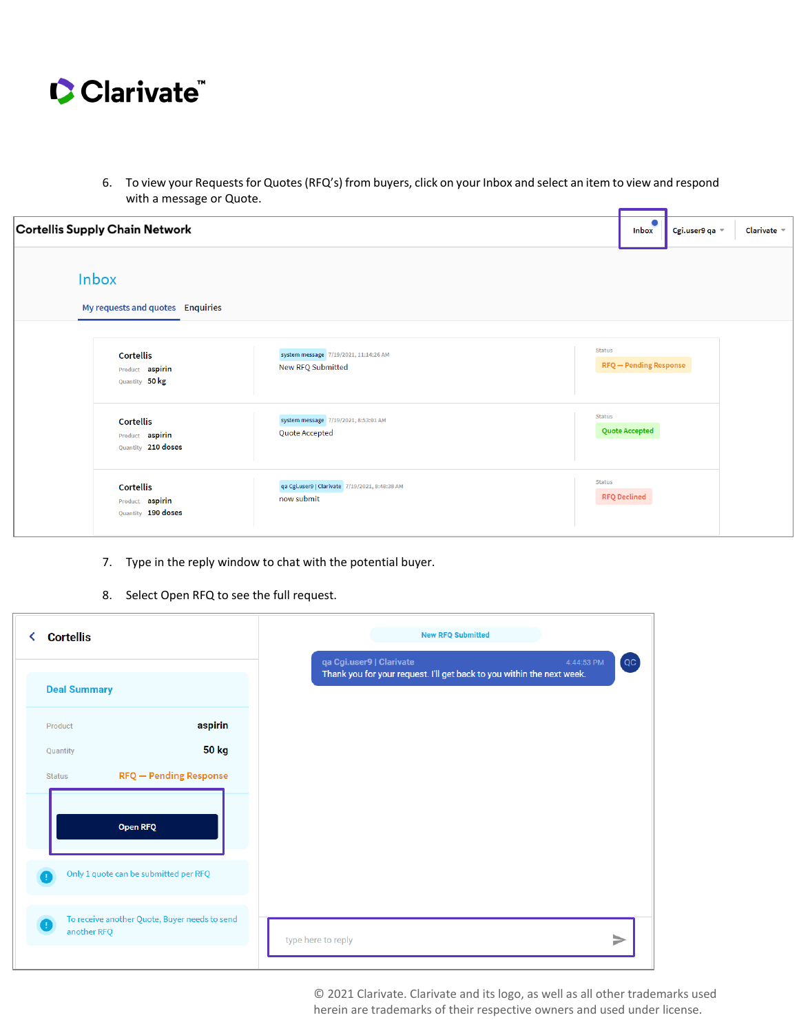

6. To view your Requests for Quotes (RFQ's) from buyers, click on your Inbox and select an item to view and respond with a message or Quote.

| Cortellis Supply Chain Network                            |                                                              | $\bullet$<br><b>Inbox</b>                      | Cgi.user9 qa = | Clarivate $\sim$ |
|-----------------------------------------------------------|--------------------------------------------------------------|------------------------------------------------|----------------|------------------|
| Inbox<br>My requests and quotes Enquiries                 |                                                              |                                                |                |                  |
| <b>Cortellis</b><br>Product aspirin<br>Quantity 50 kg     | system message 7/19/2021, 11:14:26 AM<br>New RFQ Submitted   | <b>Status</b><br><b>RFQ</b> - Pending Response |                |                  |
| <b>Cortellis</b><br>Product aspirin<br>Quantity 210 doses | system message 7/19/2021, 8:53:01 AM<br>Quote Accepted       | <b>Status</b><br><b>Quote Accepted</b>         |                |                  |
| <b>Cortellis</b><br>Product aspirin<br>Quantity 190 doses | qa Cgi.user9   Clarivate 7/19/2021, 8:48:38 AM<br>now submit | Status<br><b>RFQ Declined</b>                  |                |                  |

- 7. Type in the reply window to chat with the potential buyer.
- 8. Select Open RFQ to see the full request.

| <b>Cortellis</b>                      |                                               | <b>New RFQ Submitted</b>                                                                                                 |
|---------------------------------------|-----------------------------------------------|--------------------------------------------------------------------------------------------------------------------------|
| <b>Deal Summary</b>                   |                                               | qa Cgi.user9   Clarivate<br>4:44:53 PM<br>[QC]<br>Thank you for your request. I'll get back to you within the next week. |
| Product                               | aspirin                                       |                                                                                                                          |
| Quantity<br><b>Status</b>             | <b>50 kg</b><br><b>RFQ</b> - Pending Response |                                                                                                                          |
| <b>Open RFQ</b>                       |                                               |                                                                                                                          |
| Only 1 quote can be submitted per RFQ |                                               |                                                                                                                          |
| another RFQ                           | To receive another Quote, Buyer needs to send | ▶<br>type here to reply                                                                                                  |

© 2021 Clarivate. Clarivate and its logo, as well as all other trademarks used herein are trademarks of their respective owners and used under license.